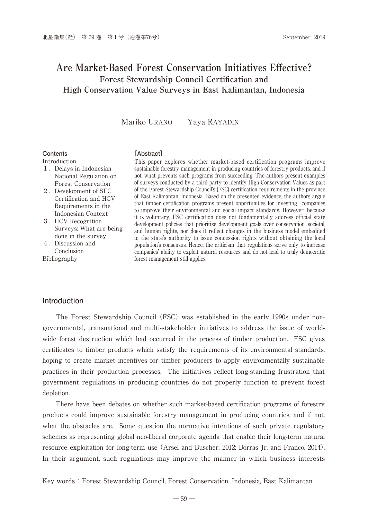# **Are Market-Based Forest Conservation Initiatives Effective? Forest Stewardship Council Certification and High Conservation Value Surveys in East Kalimantan, Indonesia**

Mariko URANO Yaya RAYADIN

#### **Contents** Introduction

#### **[Abstract]**

- 1.Delays in Indonesian National Regulation on Forest Conservation
- 2.Development of SFC Certification and HCV Requirements in the Indonesian Context
- 3.HCV Recognition Surveys: What are being done in the survey
- 4.Discussion and Conclusion Bibliography

This paper explores whether market-based certification programs improve sustainable forestry management in producing countries of forestry products, and if not, what prevents such programs from succeeding. The authors present examples of surveys conducted by a third party to identify High Conservation Values as part of the Forest Stewardship Council's (FSC) certification requirements in the province of East Kalimantan, Indonesia. Based on the presented evidence, the authors argue that timber certification programs present opportunities for investing companies to improve their environmental and social impact standards. However, because it is voluntary, FSC certification does not fundamentally address official state development policies that prioritize development goals over conservation, societal, and human rights, nor does it reflect changes in the business model embedded in the state's authority to issue concession rights without obtaining the local population's consensus. Hence, the criticism that regulations serve only to increase companies' ability to exploit natural resources and do not lead to truly democratic forest management still applies.

#### **Introduction**

 The Forest Stewardship Council (FSC) was established in the early 1990s under nongovernmental, transnational and multi-stakeholder initiatives to address the issue of worldwide forest destruction which had occurred in the process of timber production. FSC gives certificates to timber products which satisfy the requirements of its environmental standards, hoping to create market incentives for timber producers to apply environmentally sustainable practices in their production processes. The initiatives reflect long-standing frustration that government regulations in producing countries do not properly function to prevent forest depletion.

 There have been debates on whether such market-based certification programs of forestry products could improve sustainable forestry management in producing countries, and if not, what the obstacles are. Some question the normative intentions of such private regulatory schemes as representing global neo-liberal corporate agenda that enable their long-term natural resource exploitation for long-term use (Arsel and Buscher, 2012; Borras Jr. and Franco, 2014). In their argument, such regulations may improve the manner in which business interests

Key words: Forest Stewardship Council, Forest Conservation, Indonesia, East Kalimantan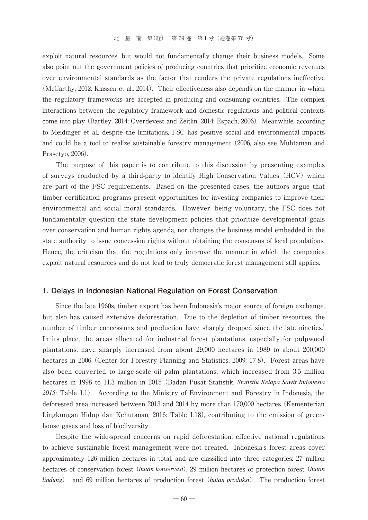exploit natural resources, but would not fundamentally change their business models. Some also point out the government policies of producing countries that prioritize economic revenues over environmental standards as the factor that renders the private regulations ineffective (McCarthy, 2012; Klassen et al., 2014). Their effectiveness also depends on the manner in which the regulatory frameworks are accepted in producing and consuming countries. The complex interactions between the regulatory framework and domestic regulations and political contexts come into play (Bartley, 2014; Overdevest and Zeitlin, 2014; Espach, 2006). Meanwhile, according to Meidinger et al., despite the limitations, FSC has positive social and environmental impacts and could be a tool to realize sustainable forestry management (2006, also see Muhtaman and Prasetyo, 2006).

 The purpose of this paper is to contribute to this discussion by presenting examples of surveys conducted by a third-party to identify High Conservation Values(HCV) which are part of the FSC requirements. Based on the presented cases, the authors argue that timber certification programs present opportunities for investing companies to improve their environmental and social moral standards. However, being voluntary, the FSC does not fundamentally question the state development policies that prioritize developmental goals over conservation and human rights agenda, nor changes the business model embedded in the state authority to issue concession rights without obtaining the consensus of local populations. Hence, the criticism that the regulations only improve the manner in which the companies exploit natural resources and do not lead to truly democratic forest management still applies.

#### **1. Delays in Indonesian National Regulation on Forest Conservation**

 Since the late 1960s, timber export has been Indonesia's major source of foreign exchange, but also has caused extensive deforestation. Due to the depletion of timber resources, the number of timber concessions and production have sharply dropped since the late nineties.<sup>1</sup> In its place, the areas allocated for industrial forest plantations, especially for pulpwood plantations, have sharply increased from about 29,000 hectares in 1989 to about 200,000 hectares in 2006 (Center for Forestry Planning and Statistics, 2009: 17-8). Forest areas have also been converted to large-scale oil palm plantations, which increased from 3.5 million hectares in 1998 to 11.3 million in 2015 (Badan Pusat Statistik, *Statistik Kelapa Sawit Indonesia 2015*: Table 1.1). According to the Ministry of Environment and Forestry in Indonesia, the deforested area increased between 2013 and 2014 by more than 170,000 hectares (Kementerian Lingkungan Hidup dan Kehutanan, 2016: Table 1.18), contributing to the emission of greenhouse gases and loss of biodiversity.

 Despite the wide-spread concerns on rapid deforestation, effective national regulations to achieve sustainable forest management were not created. Indonesia's forest areas cover approximately 126 million hectares in total, and are classified into three categories: 27 million hectares of conservation forest (*hutan konservasi*), 29 million hectares of protection forest (*hutan lindung*), and 69 million hectares of production forest (*hutan produksi*). The production forest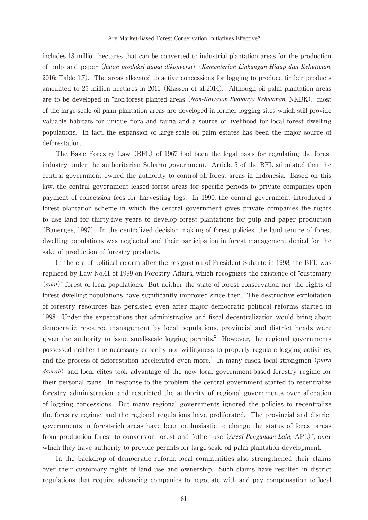includes 13 million hectares that can be converted to industrial plantation areas for the production of pulp and paper (*hutan produksi dapat dikonversi*) (*Kementerian Linkungan Hidup dan Kehutanan*, 2016: Table 1.7). The areas allocated to active concessions for logging to produce timber products amounted to 25 million hectares in 2011 (Klassen et al.,2014). Although oil palm plantation areas are to be developed in "non-forest planted areas (*Non-Kawasan Budidaya Kehutanan*, NKBK)," most of the large-scale oil palm plantation areas are developed in former logging sites which still provide valuable habitats for unique flora and fauna and a source of livelihood for local forest dwelling populations. In fact, the expansion of large-scale oil palm estates has been the major source of deforestation.

 The Basic Forestry Law (BFL) of 1967 had been the legal basis for regulating the forest industry under the authoritarian Suharto government. Article 5 of the BFL stipulated that the central government owned the authority to control all forest areas in Indonesia. Based on this law, the central government leased forest areas for specific periods to private companies upon payment of concession fees for harvesting logs. In 1990, the central government introduced a forest plantation scheme in which the central government gives private companies the rights to use land for thirty-five years to develop forest plantations for pulp and paper production (Banergee, 1997). In the centralized decision making of forest policies, the land tenure of forest dwelling populations was neglected and their participation in forest management denied for the sake of production of forestry products.

 In the era of political reform after the resignation of President Suharto in 1998, the BFL was replaced by Law No.41 of 1999 on Forestry Affairs, which recognizes the existence of "customary (*adat*)" forest of local populations. But neither the state of forest conservation nor the rights of forest dwelling populations have significantly improved since then. The destructive exploitation of forestry resources has persisted even after major democratic political reforms started in 1998. Under the expectations that administrative and fiscal decentralization would bring about democratic resource management by local populations, provincial and district heads were given the authority to issue small-scale logging permits.<sup>2</sup> However, the regional governments possessed neither the necessary capacity nor willingness to properly regulate logging activities, and the process of deforestation accelerated even more.<sup>3</sup> In many cases, local strongmen (*putra daerah*) and local elites took advantage of the new local government-based forestry regime for their personal gains. In response to the problem, the central government started to recentralize forestry administration, and restricted the authority of regional governments over allocation of logging concessions. But many regional governments ignored the policies to recentralize the forestry regime, and the regional regulations have proliferated. The provincial and district governments in forest-rich areas have been enthusiastic to change the status of forest areas from production forest to conversion forest and "other use (*Areal Pengunaan Lain*, APL)", over which they have authority to provide permits for large-scale oil palm plantation development.

 In the backdrop of democratic reform, local communities also strengthened their claims over their customary rights of land use and ownership. Such claims have resulted in district regulations that require advancing companies to negotiate with and pay compensation to local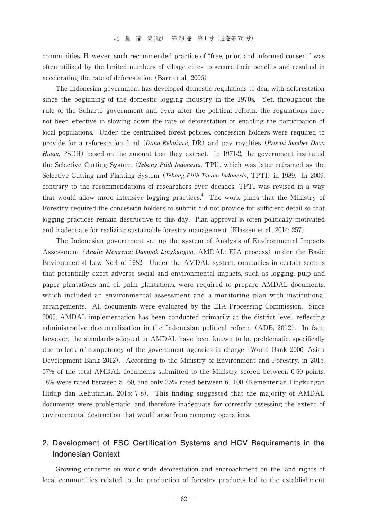communities. However, such recommended practice of "free, prior, and informed consent" was often utilized by the limited numbers of village elites to secure their benefits and resulted in accelerating the rate of deforestation (Barr et al., 2006)

 The Indonesian government has developed domestic regulations to deal with deforestation since the beginning of the domestic logging industry in the 1970s. Yet, throughout the rule of the Suharto government and even after the political reform, the regulations have not been effective in slowing down the rate of deforestation or enabling the participation of local populations. Under the centralized forest policies, concession holders were required to provide for a reforestation fund (*Dana Reboisasi*, DR) and pay royalties (*Provisi Sumber Daya Hutan*, PSDH) based on the amount that they extract. In 1971-2, the government instituted the Selective Cutting System (*Tebang Pilih Indonesia*, TPI), which was later reframed as the Selective Cutting and Planting System (*Tebang Pilih Tanam Indonesia*, TPTI) in 1989. In 2009, contrary to the recommendations of researchers over decades, TPTI was revised in a way that would allow more intensive logging practices.<sup>4</sup> The work plans that the Ministry of Forestry required the concession holders to submit did not provide for sufficient detail so that logging practices remain destructive to this day. Plan approval is often politically motivated and inadequate for realizing sustainable forestry management (Klassen et al., 2014: 257).

 The Indonesian government set up the system of Analysis of Environmental Impacts Assessment (*Analis Mengenai Dampak Lingkungan*, AMDAL: EIA process) under the Basic Environmental Law No.4 of 1982. Under the AMDAL system, companies in certain sectors that potentially exert adverse social and environmental impacts, such as logging, pulp and paper plantations and oil palm plantations, were required to prepare AMDAL documents, which included an environmental assessment and a monitoring plan with institutional arrangements. All documents were evaluated by the EIA Processing Commission. Since 2000, AMDAL implementation has been conducted primarily at the district level, reflecting administrative decentralization in the Indonesian political reform (ADB, 2012). In fact, however, the standards adopted in AMDAL have been known to be problematic, specifically due to lack of competency of the government agencies in charge (World Bank 2006; Asian Development Bank 2012). According to the Ministry of Environment and Forestry, in 2015, 57% of the total AMDAL documents submitted to the Ministry scored between 0-50 points, 18% were rated between 51-60, and only 25% rated between 61-100 (Kementerian Lingkungan Hidup dan Kehutanan, 2015: 7-8). This finding suggested that the majority of AMDAL documents were problematic, and therefore inadequate for correctly assessing the extent of environmental destruction that would arise from company operations.

## **2. Development of FSC Certification Systems and HCV Requirements in the Indonesian Context**

 Growing concerns on world-wide deforestation and encroachment on the land rights of local communities related to the production of forestry products led to the establishment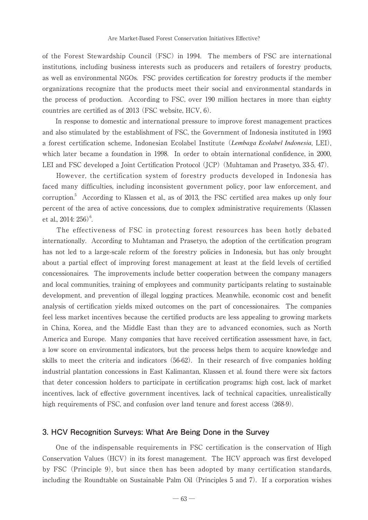of the Forest Stewardship Council (FSC) in 1994. The members of FSC are international institutions, including business interests such as producers and retailers of forestry products, as well as environmental NGOs. FSC provides certification for forestry products if the member organizations recognize that the products meet their social and environmental standards in the process of production. According to FSC, over 190 million hectares in more than eighty countries are certified as of 2013 (FSC website, HCV, 6).

 In response to domestic and international pressure to improve forest management practices and also stimulated by the establishment of FSC, the Government of Indonesia instituted in 1993 a forest certification scheme, Indonesian Ecolabel Institute (*Lembaga Ecolabel Indonesia*, LEI), which later became a foundation in 1998. In order to obtain international confidence, in 2000, LEI and FSC developed a Joint Certification Protocol (JCP) (Muhtaman and Prasetyo, 33-5, 47).

 However, the certification system of forestry products developed in Indonesia has faced many difficulties, including inconsistent government policy, poor law enforcement, and corruption.5 According to Klassen et al., as of 2013, the FSC certified area makes up only four percent of the area of active concessions, due to complex administrative requirements (Klassen et al.,  $2014:256$ <sup>6</sup>. .

 The effectiveness of FSC in protecting forest resources has been hotly debated internationally. According to Muhtaman and Prasetyo, the adoption of the certification program has not led to a large-scale reform of the forestry policies in Indonesia, but has only brought about a partial effect of improving forest management at least at the field levels of certified concessionaires. The improvements include better cooperation between the company managers and local communities, training of employees and community participants relating to sustainable development, and prevention of illegal logging practices. Meanwhile, economic cost and benefit analysis of certification yields mixed outcomes on the part of concessionaires. The companies feel less market incentives because the certified products are less appealing to growing markets in China, Korea, and the Middle East than they are to advanced economies, such as North America and Europe. Many companies that have received certification assessment have, in fact, a low score on environmental indicators, but the process helps them to acquire knowledge and skills to meet the criteria and indicators (56-62). In their research of five companies holding industrial plantation concessions in East Kalimantan, Klassen et al. found there were six factors that deter concession holders to participate in certification programs: high cost, lack of market incentives, lack of effective government incentives, lack of technical capacities, unrealistically high requirements of FSC, and confusion over land tenure and forest access (268-9).

### **3. HCV Recognition Surveys: What Are Being Done in the Survey**

 One of the indispensable requirements in FSC certification is the conservation of High Conservation Values (HCV) in its forest management. The HCV approach was first developed by FSC (Principle 9), but since then has been adopted by many certification standards, including the Roundtable on Sustainable Palm Oil (Principles 5 and 7). If a corporation wishes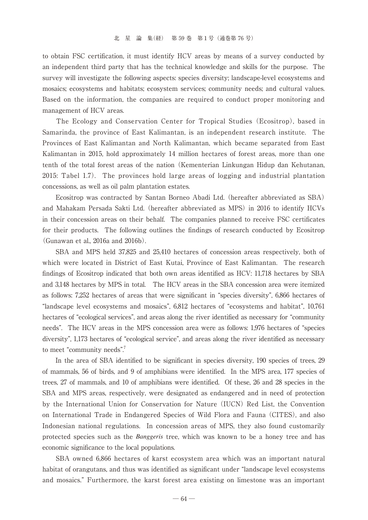to obtain FSC certification, it must identify HCV areas by means of a survey conducted by an independent third party that has the technical knowledge and skills for the purpose. The survey will investigate the following aspects: species diversity; landscape-level ecosystems and mosaics; ecosystems and habitats; ecosystem services; community needs; and cultural values. Based on the information, the companies are required to conduct proper monitoring and management of HCV areas.

 The Ecology and Conservation Center for Tropical Studies (Ecositrop), based in Samarinda, the province of East Kalimantan, is an independent research institute. The Provinces of East Kalimantan and North Kalimantan, which became separated from East Kalimantan in 2015, hold approximately 14 million hectares of forest areas, more than one tenth of the total forest areas of the nation (Kementerian Linkungan Hidup dan Kehutanan, 2015: Tabel 1.7). The provinces hold large areas of logging and industrial plantation concessions, as well as oil palm plantation estates.

 Ecositrop was contracted by Santan Borneo Abadi Ltd. (hereafter abbreviated as SBA) and Mahakam Persada Sakti Ltd. (hereafter abbreviated as MPS) in 2016 to identify HCVs in their concession areas on their behalf. The companies planned to receive FSC certificates for their products. The following outlines the findings of research conducted by Ecositrop (Gunawan et al., 2016a and 2016b).

 SBA and MPS held 37,825 and 25,410 hectares of concession areas respectively, both of which were located in District of East Kutai, Province of East Kalimantan. The research findings of Ecositrop indicated that both own areas identified as HCV: 11,718 hectares by SBA and 3,148 hectares by MPS in total. The HCV areas in the SBA concession area were itemized as follows: 7,252 hectares of areas that were significant in "species diversity", 6,866 hectares of "landscape level ecosystems and mosaics", 6,812 hectares of "ecosystems and habitat", 10,761 hectares of "ecological services", and areas along the river identified as necessary for "community needs". The HCV areas in the MPS concession area were as follows: 1,976 hectares of "species diversity", 1,173 hectares of "ecological service", and areas along the river identified as necessary to meet "community needs".<sup>7</sup>

 In the area of SBA identified to be significant in species diversity, 190 species of trees, 29 of mammals, 56 of birds, and 9 of amphibians were identified. In the MPS area, 177 species of trees, 27 of mammals, and 10 of amphibians were identified. Of these, 26 and 28 species in the SBA and MPS areas, respectively, were designated as endangered and in need of protection by the International Union for Conservation for Nature (IUCN) Red List, the Convention on International Trade in Endangered Species of Wild Flora and Fauna (CITES), and also Indonesian national regulations. In concession areas of MPS, they also found customarily protected species such as the *Banggeris* tree, which was known to be a honey tree and has economic significance to the local populations.

 SBA owned 6,866 hectares of karst ecosystem area which was an important natural habitat of orangutans, and thus was identified as significant under "landscape level ecosystems and mosaics." Furthermore, the karst forest area existing on limestone was an important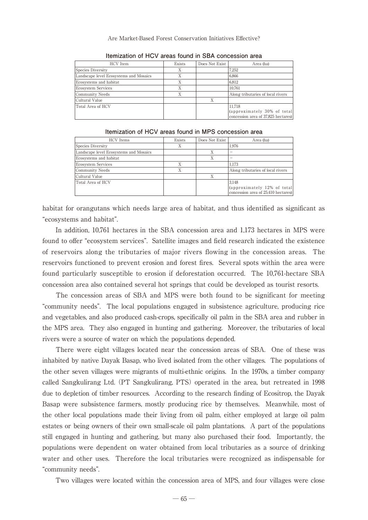Are Market-Based Forest Conservation Initiatives Effective?

| <b>HCV</b> Item                        | Exists | Does Not Exist | Area (ha)                                                                     |  |
|----------------------------------------|--------|----------------|-------------------------------------------------------------------------------|--|
| Species Diversity                      | X      |                | 7.252                                                                         |  |
| Landscape level Ecosystems and Mosaics | Χ      |                | 6.866                                                                         |  |
| Ecosystems and habitat                 | X      |                | 6.812                                                                         |  |
| <b>Ecosystem Services</b>              | X      |                | 10.761                                                                        |  |
| Community Needs                        | Χ      |                | Along tributaries of local rivers                                             |  |
| Cultural Value                         |        | X              |                                                                               |  |
| Total Area of HCV                      |        |                | 11.718<br>(approximately 30% of total)<br>concession area of 37,825 hectares) |  |

**Itemization of HCV areas found in SBA concession area**

| Itemization of HCV areas found in MPS concession area |  |  |
|-------------------------------------------------------|--|--|
|                                                       |  |  |

| <b>HCV</b> Items                       | Exists | Does Not Exist | Area (ha)                           |
|----------------------------------------|--------|----------------|-------------------------------------|
| Species Diversity                      | X      |                | 1.976                               |
| Landscape level Ecosystems and Mosaics |        | Х              |                                     |
| Ecosystems and habitat                 |        |                |                                     |
| <b>Ecosystem Services</b>              | X      |                | 1.173                               |
| Community Needs                        | X      |                | Along tributaries of local rivers   |
| Cultural Value                         |        |                |                                     |
| Total Area of HCV                      |        |                | 3.148                               |
|                                        |        |                | (approximately 12% of total)        |
|                                        |        |                | concession area of 25,410 hectares) |

habitat for orangutans which needs large area of habitat, and thus identified as significant as "ecosystems and habitat".

 In addition, 10,761 hectares in the SBA concession area and 1,173 hectares in MPS were found to offer "ecosystem services". Satellite images and field research indicated the existence of reservoirs along the tributaries of major rivers flowing in the concession areas. The reservoirs functioned to prevent erosion and forest fires. Several spots within the area were found particularly susceptible to erosion if deforestation occurred. The 10,761-hectare SBA concession area also contained several hot springs that could be developed as tourist resorts.

 The concession areas of SBA and MPS were both found to be significant for meeting "community needs". The local populations engaged in subsistence agriculture, producing rice and vegetables, and also produced cash-crops, specifically oil palm in the SBA area and rubber in the MPS area. They also engaged in hunting and gathering. Moreover, the tributaries of local rivers were a source of water on which the populations depended.

 There were eight villages located near the concession areas of SBA. One of these was inhabited by native Dayak Basap, who lived isolated from the other villages. The populations of the other seven villages were migrants of multi-ethnic origins. In the 1970s, a timber company called Sangkulirang Ltd. (PT Sangkulirang, PTS) operated in the area, but retreated in 1998 due to depletion of timber resources. According to the research finding of Ecositrop, the Dayak Basap were subsistence farmers, mostly producing rice by themselves. Meanwhile, most of the other local populations made their living from oil palm, either employed at large oil palm estates or being owners of their own small-scale oil palm plantations. A part of the populations still engaged in hunting and gathering, but many also purchased their food. Importantly, the populations were dependent on water obtained from local tributaries as a source of drinking water and other uses. Therefore the local tributaries were recognized as indispensable for "community needs".

Two villages were located within the concession area of MPS, and four villages were close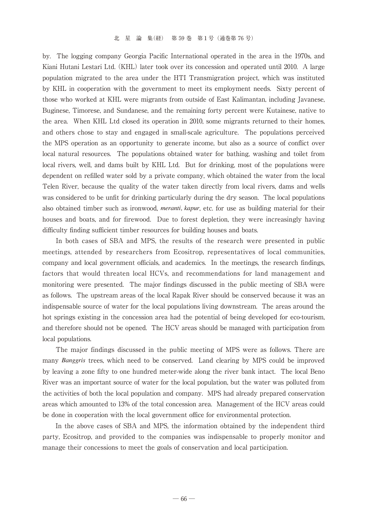by. The logging company Georgia Pacific International operated in the area in the 1970s, and Kiani Hutani Lestari Ltd. (KHL) later took over its concession and operated until 2010. A large population migrated to the area under the HTI Transmigration project, which was instituted by KHL in cooperation with the government to meet its employment needs. Sixty percent of those who worked at KHL were migrants from outside of East Kalimantan, including Javanese, Buginese, Timorese, and Sundanese, and the remaining forty percent were Kutainese, native to the area. When KHL Ltd closed its operation in 2010, some migrants returned to their homes, and others chose to stay and engaged in small-scale agriculture. The populations perceived the MPS operation as an opportunity to generate income, but also as a source of conflict over local natural resources. The populations obtained water for bathing, washing and toilet from local rivers, well, and dams built by KHL Ltd. But for drinking, most of the populations were dependent on refilled water sold by a private company, which obtained the water from the local Telen River, because the quality of the water taken directly from local rivers, dams and wells was considered to be unfit for drinking particularly during the dry season. The local populations also obtained timber such as ironwood, *meranti, kapur*, etc. for use as building material for their houses and boats, and for firewood. Due to forest depletion, they were increasingly having difficulty finding sufficient timber resources for building houses and boats.

 In both cases of SBA and MPS, the results of the research were presented in public meetings, attended by researchers from Ecositrop, representatives of local communities, company and local government officials, and academics. In the meetings, the research findings, factors that would threaten local HCVs, and recommendations for land management and monitoring were presented. The major findings discussed in the public meeting of SBA were as follows. The upstream areas of the local Rapak River should be conserved because it was an indispensable source of water for the local populations living downstream. The areas around the hot springs existing in the concession area had the potential of being developed for eco-tourism, and therefore should not be opened. The HCV areas should be managed with participation from local populations.

 The major findings discussed in the public meeting of MPS were as follows. There are many *Banggris* trees, which need to be conserved. Land clearing by MPS could be improved by leaving a zone fifty to one hundred meter-wide along the river bank intact. The local Beno River was an important source of water for the local population, but the water was polluted from the activities of both the local population and company. MPS had already prepared conservation areas which amounted to 13% of the total concession area. Management of the HCV areas could be done in cooperation with the local government office for environmental protection.

 In the above cases of SBA and MPS, the information obtained by the independent third party, Ecositrop, and provided to the companies was indispensable to properly monitor and manage their concessions to meet the goals of conservation and local participation.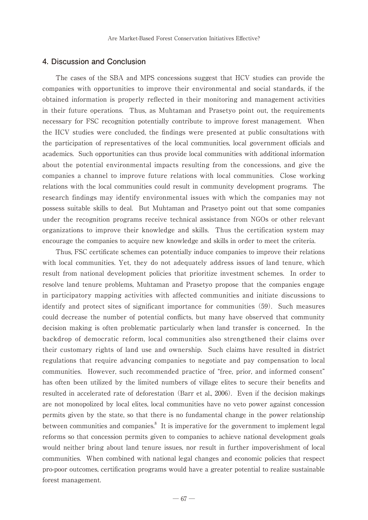### **4. Discussion and Conclusion**

 The cases of the SBA and MPS concessions suggest that HCV studies can provide the companies with opportunities to improve their environmental and social standards, if the obtained information is properly reflected in their monitoring and management activities in their future operations. Thus, as Muhtaman and Prasetyo point out, the requirements necessary for FSC recognition potentially contribute to improve forest management. When the HCV studies were concluded, the findings were presented at public consultations with the participation of representatives of the local communities, local government officials and academics. Such opportunities can thus provide local communities with additional information about the potential environmental impacts resulting from the concessions, and give the companies a channel to improve future relations with local communities. Close working relations with the local communities could result in community development programs. The research findings may identify environmental issues with which the companies may not possess suitable skills to deal. But Muhtaman and Prasetyo point out that some companies under the recognition programs receive technical assistance from NGOs or other relevant organizations to improve their knowledge and skills. Thus the certification system may encourage the companies to acquire new knowledge and skills in order to meet the criteria.

 Thus, FSC certificate schemes can potentially induce companies to improve their relations with local communities. Yet, they do not adequately address issues of land tenure, which result from national development policies that prioritize investment schemes. In order to resolve land tenure problems, Muhtaman and Prasetyo propose that the companies engage in participatory mapping activities with affected communities and initiate discussions to identify and protect sites of significant importance for communities (59). Such measures could decrease the number of potential conflicts, but many have observed that community decision making is often problematic particularly when land transfer is concerned. In the backdrop of democratic reform, local communities also strengthened their claims over their customary rights of land use and ownership. Such claims have resulted in district regulations that require advancing companies to negotiate and pay compensation to local communities. However, such recommended practice of "free, prior, and informed consent" has often been utilized by the limited numbers of village elites to secure their benefits and resulted in accelerated rate of deforestation (Barr et al., 2006). Even if the decision makings are not monopolized by local elites, local communities have no veto power against concession permits given by the state, so that there is no fundamental change in the power relationship between communities and companies.<sup>8</sup> It is imperative for the government to implement legal reforms so that concession permits given to companies to achieve national development goals would neither bring about land tenure issues, nor result in further impoverishment of local communities. When combined with national legal changes and economic policies that respect pro-poor outcomes, certification programs would have a greater potential to realize sustainable forest management.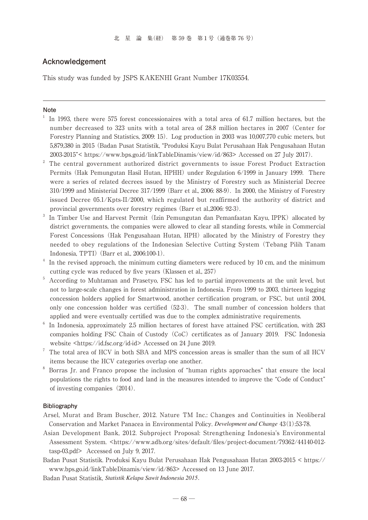### **Acknowledgement**

This study was funded by JSPS KAKENHI Grant Number 17K03554.

#### **Note**

- $1$  In 1993, there were 575 forest concessionaires with a total area of 61.7 million hectares, but the number decreased to 323 units with a total area of 28.8 million hectares in 2007 (Center for Forestry Planning and Statistics, 2009: 15). Log production in 2003 was 10,007,770 cubic meters, but 5,879,380 in 2015 (Badan Pusat Statistik, "Produksi Kayu Bulat Perusahaan Hak Pengusahaan Hutan 2003-2015"< https://www.bps.go.id/linkTableDinamis/view/id/863> Accessed on 27 July 2017).
- $2^2$  The central government authorized district governments to issue Forest Product Extraction Permits (Hak Pemungutan Hasil Hutan, HPHH) under Regulation 6/1999 in January 1999. There were a series of related decrees issued by the Ministry of Forestry such as Ministerial Decree 310/1999 and Ministerial Decree 317/1999 (Barr et al., 2006: 88-9). In 2000, the Ministry of Forestry issued Decree 05.1/Kpts-II/2000, which regulated but reaffirmed the authority of district and provincial governments over forestry regimes (Barr et al.,2006: 92-3).<br><sup>3</sup> In Timber Use and Harvest Permit (Izin Pemungutan dan Pemanfaatan Kayu, IPPK) allocated by
- district governments, the companies were allowed to clear all standing forests, while in Commercial Forest Concessions (Hak Pengusahaan Hutan, HPH) allocated by the Ministry of Forestry they needed to obey regulations of the Indonesian Selective Cutting System (Tebang Pilih Tanam Indonesia, TPTI) (Barr et al., 2006:100-1).<br>In the revised approach, the minimum cutting diameters were reduced by 10 cm, and the minimum
- cutting cycle was reduced by five years (Klassen et al., 257)
- <sup>5</sup> According to Muhtaman and Prasetyo, FSC has led to partial improvements at the unit level, but not to large-scale changes in forest administration in Indonesia. From 1999 to 2003, thirteen logging concession holders applied for Smartwood, another certification program, or FSC, but until 2004, only one concession holder was certified (52-3). The small number of concession holders that applied and were eventually certified was due to the complex administrative requirements.
- <sup>6</sup> In Indonesia, approximately 2.5 million hectares of forest have attained FSC certification, with 283 companies holding FSC Chain of Custody (CoC) certificates as of January 2019. FSC Indonesia website <https://id.fsc.org/id-id> Accessed on 24 June 2019.
- <sup>7</sup> The total area of HCV in both SBA and MPS concession areas is smaller than the sum of all HCV items because the HCV categories overlap one another.
- <sup>8</sup> Borras Jr. and Franco propose the inclusion of "human rights approaches" that ensure the local populations the rights to food and land in the measures intended to improve the "Code of Conduct" of investing companies(2014).

#### **Bibliography**

- Arsel, Murat and Bram Buscher, 2012. Nature TM Inc.: Changes and Continuities in Neoliberal Conservation and Market Panacea in Environmental Policy. *Development and Change* 43(1):53-78.
- Asian Development Bank, 2012. Subproject Proposal: Strengthening Indonesia's Environmental Assessment System. <https://www.adb.org/sites/default/files/project-document/79362/44140-012 tasp-03.pdf> Accessed on July 9, 2017.
- Badan Pusat Statistik. Produksi Kayu Bulat Perusahaan Hak Pengusahaan Hutan 2003-2015 < https:// www.bps.go.id/linkTableDinamis/view/id/863> Accessed on 13 June 2017.
- Badan Pusat Statistik, *Statistik Kelapa Sawit Indonesia 2015.*